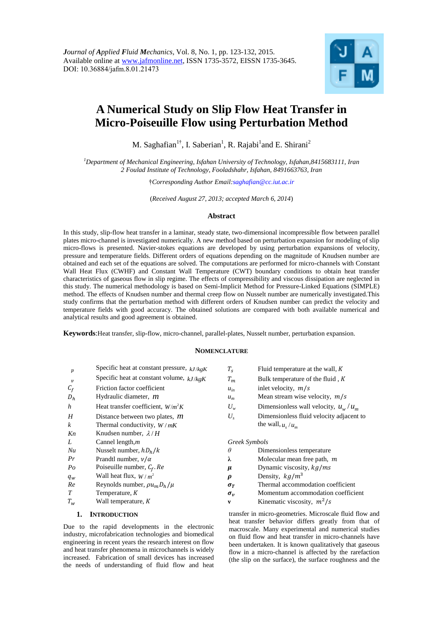

# **A Numerical Study on Slip Flow Heat Transfer in Micro-Poiseuille Flow using Perturbation Method**

M. Saghafian<sup>1†</sup>, I. Saberian<sup>1</sup>, R. Rajabi<sup>1</sup>and E. Shirani<sup>2</sup>

*<sup>1</sup>Department of Mechanical Engineering, Isfahan University of Technology, Isfahan,8415683111, Iran 2 Foulad Institute of Technology, Fooladshahr, Isfahan, 8491663763, Iran* 

†*Corresponding Author Email:saghafian@cc.iut.ac.ir*

(*Received August 27, 2013; accepted March 6, 2014*)

#### **Abstract**

In this study, slip-flow heat transfer in a laminar, steady state, two-dimensional incompressible flow between parallel plates micro-channel is investigated numerically. A new method based on perturbation expansion for modeling of slip micro-flows is presented. Navier-stokes equations are developed by using perturbation expansions of velocity, pressure and temperature fields. Different orders of equations depending on the magnitude of Knudsen number are obtained and each set of the equations are solved. The computations are performed for micro-channels with Constant Wall Heat Flux (CWHF) and Constant Wall Temperature (CWT) boundary conditions to obtain heat transfer characteristics of gaseous flow in slip regime. The effects of compressibility and viscous dissipation are neglected in this study. The numerical methodology is based on Semi-Implicit Method for Pressure-Linked Equations (SIMPLE) method. The effects of Knudsen number and thermal creep flow on Nusselt number are numerically investigated.This study confirms that the perturbation method with different orders of Knudsen number can predict the velocity and temperature fields with good accuracy. The obtained solutions are compared with both available numerical and analytical results and good agreement is obtained.

**Keywords**:Heat transfer, slip-flow, micro-channel, parallel-plates, Nusselt number, perturbation expansion.

#### **NOMENCLATURE**

| $\boldsymbol{p}$ | Specific heat at constant pressure, $kJ/kgK$ | $T_{\rm s}$         | Fluid temperature at the wall, $K$       |
|------------------|----------------------------------------------|---------------------|------------------------------------------|
| $\boldsymbol{v}$ | Specific heat at constant volume, $kJ/kgK$   | $T_m$               | Bulk temperature of the fluid, $K$       |
| $C_f$            | Friction factor coefficient                  | $u_{in}$            | inlet velocity, $m/s$                    |
| $D_h$            | Hydraulic diameter, <i>m</i>                 | $u_m$               | Mean stream wise velocity, $m/s$         |
| h                | Heat transfer coefficient, $W/m^2 K$         | $U_w$               | Dimensionless wall velocity, $u_w/u_m$   |
| H                | Distance between two plates, $m$             | $U_{s}$             | Dimensionless fluid velocity adjacent to |
| $\boldsymbol{k}$ | Thermal conductivity, $W/mK$                 |                     | the wall, $u_s/u_m$                      |
| Kn               | Knudsen number, $\lambda/H$                  |                     |                                          |
| L                | Cannel length, $m$                           |                     | Greek Symbols                            |
| Nu               | Nusselt number, $hD_h/k$                     | $\theta$            | Dimensionless temperature                |
| Pr               | Prandtl number, $\nu/\alpha$                 | λ                   | Molecular mean free path, $m$            |
| $P_{O}$          | Poiseuille number, $C_f$ . Re                | $\mu$               | Dynamic viscosity, $kg/ms$               |
| $q_w$            | Wall heat flux, $W/m^2$                      | $\boldsymbol{\rho}$ | Density, $kg/m^3$                        |
| Re               | Reynolds number, $\rho u_m D_h / \mu$        | $\sigma_T$          | Thermal accommodation coefficient        |
| $\boldsymbol{T}$ | Temperature, K                               | $\sigma_{v}$        | Momentum accommodation coefficient       |
| $T_{w}$          | Wall temperature, K                          | v                   | Kinematic viscosity, $m^2/s$             |

# **1. INTRODUCTION**

Due to the rapid developments in the electronic industry, microfabrication technologies and biomedical engineering in recent years the research interest on flow and heat transfer phenomena in microchannels is widely increased. Fabrication of small devices has increased the needs of understanding of fluid flow and heat transfer in micro-geometries. Microscale fluid flow and heat transfer behavior differs greatly from that of macroscale. Many experimental and numerical studies on fluid flow and heat transfer in micro-channels have been undertaken. It is known qualitatively that gaseous flow in a micro-channel is affected by the rarefaction (the slip on the surface), the surface roughness and the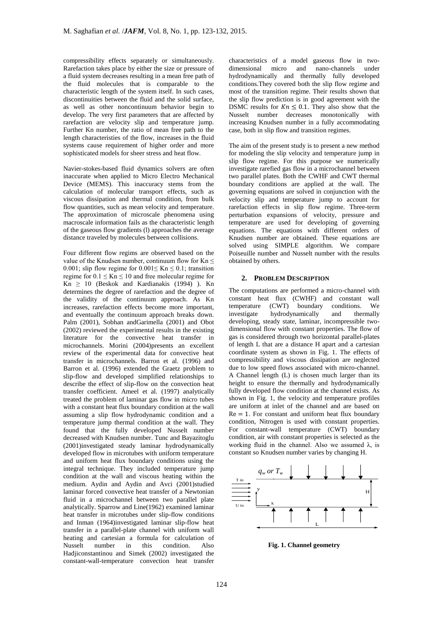compressibility effects separately or simultaneously. Rarefaction takes place by either the size or pressure of a fluid system decreases resulting in a mean free path of the fluid molecules that is comparable to the characteristic length of the system itself. In such cases, discontinuities between the fluid and the solid surface, as well as other noncontinuum behavior begin to develop. The very first parameters that are affected by rarefaction are velocity slip and temperature jump. Further Kn number, the ratio of mean free path to the length characteristies of the flow, increases in the fluid systems cause requirement of higher order and more sophisticated models for sheer stress and heat flow.

Navier-stokes-based fluid dynamics solvers are often inaccurate when applied to Micro Electro Mechanical Device (MEMS). This inaccuracy stems from the calculation of molecular transport effects, such as viscous dissipation and thermal condition, from bulk flow quantities, such as mean velocity and temperature. The approximation of microscale phenomena using macroscale information fails as the characteristic length of the gaseous flow gradients (l) approaches the average distance traveled by molecules between collisions.

Four different flow regims are observed based on the value of the Knudsen number, continuum flow for  $Kn \leq$ 0.001; slip flow regime for  $0.001 \leq Kn \leq 0.1$ ; transition regime for  $0.1 \leq Kn \leq 10$  and free molecular regime for  $Kn$  > 10 (Beskok and Kardianakis (1994)). Kn determines the degree of rarefaction and the degree of the validity of the continuum approach. As Kn increases, rarefaction effects become more important, and eventually the continuum approach breaks down. Palm (2001), Sobhan andGarimella (2001) and Obot (2002) reviewed the experimental results in the existing literature for the convective heat transfer in microchannels. Morini (2004)presents an excellent review of the experimental data for convective heat transfer in microchannels. Barron et al. (1996) and Barron et al. (1996) extended the Graetz problem to slip-flow and developed simplified relationships to describe the effect of slip-flow on the convection heat transfer coefficient. Ameel et al. (1997) analytically treated the problem of laminar gas flow in micro tubes with a constant heat flux boundary condition at the wall assuming a slip flow hydrodynamic condition and a temperature jump thermal condition at the wall. They found that the fully developed Nusselt number decreased with Knudsen number. Tunc and Bayazitoglu (2001)investigated steady laminar hydrodynamically developed flow in microtubes with uniform temperature and uniform heat flux boundary conditions using the integral technique. They included temperature jump condition at the wall and viscous heating within the medium. Aydin and Aydin and Avci (2001)studied laminar forced convective heat transfer of a Newtonian fluid in a microchannel between two parallel plate analytically. Sparrow and Line(1962) examined laminar heat transfer in microtubes under slip-flow conditions and Inman (1964)investigated laminar slip-flow heat transfer in a parallel-plate channel with uniform wall heating and cartesian a formula for calculation of<br>Nusselt number in this condition. Also Nusselt number in this condition. Also Hadjiconstantinou and Simek (2002) investigated the constant-wall-temperature convection heat transfer

characteristics of a model gaseous flow in twodimensional micro and nano-channels under hydrodynamically and thermally fully developed conditions.They covered both the slip flow regime and most of the transition regime. Their results shown that the slip flow prediction is in good agreement with the DSMC results for  $Kn \leq 0.1$ . They also show that the Nusselt number decreases monotonically with increasing Knudsen number in a fully accommodating case, both in slip flow and transition regimes.

The aim of the present study is to present a new method for modeling the slip velocity and temperature jump in slip flow regime. For this purpose we numerically investigate rarefied gas flow in a microchannel between two parallel plates. Both the CWHF and CWT thermal boundary conditions are applied at the wall. The governing equations are solved in conjunction with the velocity slip and temperature jump to account for rarefaction effects in slip flow regime. Three-term perturbation expansions of velocity, pressure and temperature are used for developing of governing equations. The equations with different orders of Knudsen number are obtained. These equations are solved using SIMPLE algorithm. We compare Poiseuille number and Nusselt number with the results obtained by others.

# **2. PROBLEM DESCRIPTION**

The computations are performed a micro-channel with constant heat flux (CWHF) and constant wall temperature (CWT) boundary conditions. We<br>investigate hydrodynamically and thermally hydrodynamically and thermally developing, steady state, laminar, incompressible twodimensional flow with constant properties. The flow of gas is considered through two horizontal parallel-plates of length L that are a distance H apart and a cartesian coordinate system as shown in Fig. 1. The effects of compressibility and viscous dissipation are neglected due to low speed flows associated with micro-channel. A Channel length (L) is chosen much larger than its height to ensure the thermally and hydrodynamically fully developed flow condition at the channel exists. As shown in Fig. 1, the velocity and temperature profiles are uniform at inlet of the channel and are based on  $Re = 1$ . For constant and uniform heat flux boundary condition, Nitrogen is used with constant properties. For constant-wall temperature (CWT) boundary condition, air with constant properties is selected as the working fluid in the channel. Also we assumed  $\lambda$ , is constant so Knudsen number varies by changing H.



**Fig. 1. Channel geometry**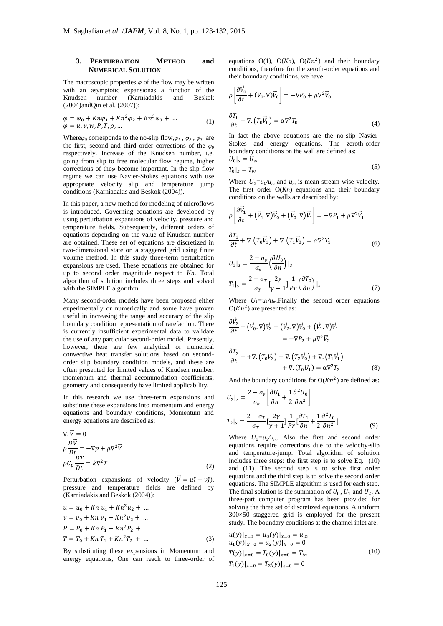# **3. PERTURBATION METHOD and NUMERICAL SOLUTION**

The macroscopic properties  $\varphi$  of the flow may be written with an asymptotic expansionas a function of the Knudsen number (Karniadakis and Beskok (2004)andQin et al. (2007)):

$$
\varphi = \varphi_0 + Kn\varphi_1 + Kn^2\varphi_2 + Kn^3\varphi_3 + \dots \n\varphi = u, v, w, P, T, \rho, \dots
$$
\n(1)

Where $\varphi_0$  corresponds to the no-slip flow, $\varphi_1$ ,  $\varphi_2$ ,  $\varphi_3$  are the first, second and third order corrections of the  $\varphi_0$ respectively. Increase of the Knudsen number, i.e. going from slip to free molecular flow regime, higher corrections of the*φ* become important. In the slip flow regime we can use Navier-Stokes equations with use appropriate velocity slip and temperature jump conditions (Karniadakis and Beskok (2004)).

In this paper, a new method for modeling of microflows is introduced. Governing equations are developed by using perturbation expansions of velocity, pressure and temperature fields. Subsequently, different orders of equations depending on the value of Knudsen number are obtained. These set of equations are discretized in two-dimensional state on a staggered grid using finite volume method. In this study three-term perturbation expansions are used. These equations are obtained for up to second order magnitude respect to *Kn*. Total algorithm of solution includes three steps and solved with the SIMPLE algorithm.

Many second-order models have been proposed either experimentally or numerically and some have proven useful in increasing the range and accuracy of the slip boundary condition representation of rarefaction. There is currently insufficient experimental data to validate the use of any particular second-order model. Presently, however, there are few analytical or numerical convective heat transfer solutions based on secondorder slip boundary condition models, and these are often presented for limited values of Knudsen number, momentum and thermal accommodation coefficients, geometry and consequently have limited applicability.

In this research we use three-term expansions and substitute these expansions into momentum and energy equations and boundary conditions, Momentum and energy equations are described as:

$$
\nabla \cdot \vec{V} = 0
$$
  
\n
$$
\rho \frac{D \vec{V}}{Dt} = -\nabla p + \mu \nabla^2 \vec{V}
$$
  
\n
$$
\rho C_p \frac{DT}{Dt} = k \nabla^2 T
$$
 (2)

Perturbation expansions of velocity  $(\vec{V} = u\hat{\imath} + v\hat{\jmath}),$ pressure and temperature fields are defined by (Karniadakis and Beskok (2004)):

$$
u = u_0 + Kn u_1 + Kn^2 u_2 + ...
$$
  
\n
$$
v = v_0 + Kn v_1 + Kn^2 v_2 + ...
$$
  
\n
$$
P = P_0 + Kn P_1 + Kn^2 P_2 + ...
$$
  
\n
$$
T = T_0 + Kn T_1 + Kn^2 T_2 + ...
$$
 (3)

By substituting these expansions in Momentum and energy equations, One can reach to three-order of

equations  $O(1)$ ,  $O(Kn)$ ,  $O(Kn^2)$  and their boundary conditions, therefore for the zeroth-order equations and their boundary conditions, we have:

$$
\rho \left[ \frac{\partial \vec{V}_0}{\partial t} + (V_0, \nabla) \vec{V}_0 \right] = -\nabla P_0 + \mu \nabla^2 \vec{V}_0
$$
  

$$
\frac{\partial T_0}{\partial t} + \nabla \cdot (T_0 \vec{V}_0) = \alpha \nabla^2 T_0
$$
 (4)

In fact the above equations are the no-slip Navier-Stokes and energy equations. The zeroth-order boundary conditions on the wall are defined as:  $U_0|_s = U_s$ 

$$
T_0|_{s} = T_w \tag{5}
$$

Where  $U_0 = u_0/u_m$  and  $u_m$  is mean stream wise velocity. The first order O(*Kn*) equations and their boundary conditions on the walls are described by:

$$
\rho \left[ \frac{\partial \vec{V}_1}{\partial t} + (\vec{V}_1 \cdot \nabla) \vec{V}_0 + (\vec{V}_0 \cdot \nabla) \vec{V}_1 \right] = -\nabla P_1 + \mu \nabla^2 \vec{V}_1
$$
\n
$$
\frac{\partial T_1}{\partial t} + \nabla \cdot (T_0 \vec{V}_1) + \nabla \cdot (T_1 \vec{V}_0) = \alpha \nabla^2 T_1
$$
\n
$$
U_1|_S = \frac{2 - \sigma_v}{\sigma_v} \left( \frac{\partial U_0}{\partial n} \right)|_S
$$
\n
$$
T_1|_S = \frac{2 - \sigma_T}{\sigma_r} \left[ \frac{2\gamma}{\gamma + 1} \right] \frac{1}{Pr} \left( \frac{\partial T_0}{\partial n} \right)|_S
$$
\n(7)

Where  $U_1 = u_1/u_m$ . Finally the second order equations  $O(Kn^2)$  are presented as:

$$
\frac{\partial \vec{v}_2}{\partial t} + (\vec{v}_0. \nabla) \vec{v}_2 + (\vec{v}_2. \nabla) \vec{v}_0 + (\vec{v}_1. \nabla) \vec{v}_1
$$
\n
$$
= -\nabla P_2 + \mu \nabla^2 \vec{v}_2
$$
\n
$$
\frac{\partial T_2}{\partial t} + + \nabla \cdot (T_0 \vec{v}_2) + \nabla \cdot (T_2 \vec{v}_0) + \nabla \cdot (T_1 \vec{v}_1)
$$
\n
$$
+ \nabla \cdot (T_0 U_1) = \alpha \nabla^2 T_2
$$
\n(8)

And the boundary conditions for  $O(Kn^2)$  are defined as:

$$
U_2|_s = \frac{2 - \sigma_v}{\sigma_v} \left[ \frac{\partial U_1}{\partial n} + \frac{1}{2} \frac{\partial^2 U_0}{\partial n^2} \right]
$$
  

$$
T_2|_s = \frac{2 - \sigma_T}{\sigma_T} \left[ \frac{2\gamma}{\gamma + 1} \right] \frac{1}{Pr} \left[ \frac{\partial T_1}{\partial n} + \frac{1}{2} \frac{\partial^2 T_0}{\partial n^2} \right]
$$
 (9)

Where  $U_2 = u_2/u_m$ . Also the first and second order equations require corrections due to the velocity-slip and temperature-jump. Total algorithm of solution includes three steps: the first step is to solve Eq. (10) and (11). The second step is to solve first order equations and the third step is to solve the second order equations. The SIMPLE algorithm is used for each step. The final solution is the summation of  $U_0$ ,  $U_1$  and  $U_2$ . A three-part computer program has been provided for solving the three set of discretized equations. A uniform 300×50 staggered grid is employed for the present study. The boundary conditions at the channel inlet are:

$$
u(y)|_{x=0} = u_0(y)|_{x=0} = u_{in}
$$
  
\n
$$
u_1(y)|_{x=0} = u_2(y)|_{x=0} = 0
$$
  
\n
$$
T(y)|_{x=0} = T_0(y)|_{x=0} = T_{in}
$$
  
\n
$$
T_1(y)|_{x=0} = T_2(y)|_{x=0} = 0
$$
\n(10)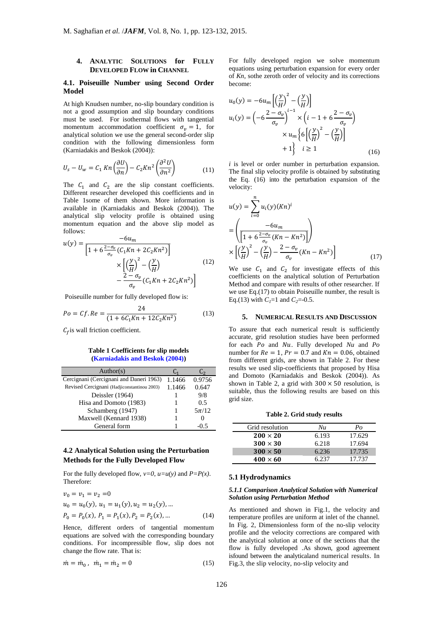# **4. ANALYTIC SOLUTIONS for FULLY DEVELOPED FLOW in CHANNEL**

#### **4.1. Poiseuille Number using Second Order Model**

At high Knudsen number, no-slip boundary condition is not a good assumption and slip boundary conditions must be used. For isothermal flows with tangential momentum accommodation coefficient  $\sigma_n = 1$ , for analytical solution we use the general second-order slip condition with the following dimensionless form (Karniadakis and Beskok (2004)):

$$
U_s - U_w = C_1 Kn \left(\frac{\partial U}{\partial n}\right) - C_2 Kn^2 \left(\frac{\partial^2 U}{\partial n^2}\right)
$$
 (11)

The  $C_1$  and  $C_2$  are the slip constant coefficients. Different researcher developed this coefficients and in Table 1some of them shown. More information is available in (Karniadakis and Beskok (2004)). The analytical slip velocity profile is obtained using momentum equation and the above slip model as follows:

$$
u(y) = \frac{-6u_m}{\left[1 + 6\frac{2-\sigma_v}{\sigma_v}(C_1Kn + 2C_2Kn^2)\right]}
$$

$$
\times \left[\left(\frac{y}{H}\right)^2 - \left(\frac{y}{H}\right) - \frac{2-\sigma_v}{\sigma_v}(C_1Kn + 2C_2Kn^2)\right]
$$
(12)

Poiseuille number for fully developed flow is:

$$
Po = Cf. Re = \frac{24}{(1 + 6C_1Kn + 12C_2Kn^2)}
$$
(13)

 $C_f$  is wall friction coefficient.

#### **Table 1 Coefficients for slip models (Karniadakis and Beskok (2004))**

| Author(s)                                   |        | <u>ل</u>  |
|---------------------------------------------|--------|-----------|
| Cercignani (Cercignani and Daneri 1963)     | 1.1466 | 0.9756    |
| Revised Cercignani (Hadjiconstantinou 2003) | 1.1466 | 0.647     |
| Deissler (1964)                             |        | 9/8       |
| Hisa and Domoto (1983)                      |        | 0.5       |
| Schamberg (1947)                            |        | $5\pi/12$ |
| Maxwell (Kennard 1938)                      |        |           |
| General form                                |        | 0 5       |

# **4.2 Analytical Solution using the Perturbation Methods for the Fully Developed Flow**

For the fully developed flow,  $v=0$ ,  $u=u(y)$  and  $P=P(x)$ . Therefore:

$$
v_0 = v_1 = v_2 = 0
$$
  
\n
$$
u_0 = u_0(y), u_1 = u_1(y), u_2 = u_2(y), ...
$$
  
\n
$$
P_0 = P_0(x), P_1 = P_1(x), P_2 = P_2(x), ...
$$
\n(14)

Hence, different orders of tangential momentum equations are solved with the corresponding boundary conditions. For incompressible flow, slip does not change the flow rate. That is:

$$
\dot{m} = \dot{m}_0 \,, \quad \dot{m}_1 = \dot{m}_2 = 0 \tag{15}
$$

For fully developed region we solve momentum equations using perturbation expansion for every order of *Kn*, sothe zeroth order of velocity and its corrections become:

$$
u_0(y) = -6u_m \left[ \left( \frac{y}{H} \right)^2 - \left( \frac{y}{H} \right) \right]
$$
  
\n
$$
u_i(y) = \left( -6 \frac{2 - \sigma_v}{\sigma_v} \right)^{i-1} \times \left( i - 1 + 6 \frac{2 - \sigma_v}{\sigma_v} \right)
$$
  
\n
$$
\times u_m \left\{ 6 \left[ \left( \frac{y}{H} \right)^2 - \left( \frac{y}{H} \right) \right] + 1 \right\} \quad i \ge 1
$$
\n(16)

*i* is level or order number in perturbation expansion. The final slip velocity profile is obtained by substituting the Eq. (16) into the perturbation expansion of the velocity:

$$
u(y) = \sum_{i=0}^{n} u_i(y)(Kn)^i
$$
  
= 
$$
\left( \frac{-6u_m}{\left[ 1 + 6 \frac{2 - \sigma_v}{\sigma_v} (Kn - Kn^2) \right]} \right)
$$
  

$$
\times \left[ \left( \frac{y}{H} \right)^2 - \left( \frac{y}{H} \right) - \frac{2 - \sigma_v}{\sigma_v} (Kn - Kn^2) \right]
$$
 (17)

We use  $C_1$  and  $C_2$  for investigate effects of this coefficients on the analytical solution of Perturbation Method and compare with results of other researcher. If we use Eq.(17) to obtain Poiseuille number, the result is Eq.(13) with  $C_1 = 1$  and  $C_2 = -0.5$ .

#### **5. NUMERICAL RESULTS AND DISCUSSION**

To assure that each numerical result is sufficiently accurate, grid resolution studies have been performed for each Po and Nu. Fully developed Nu and Po number for  $Re = 1$ ,  $Pr = 0.7$  and  $Kn = 0.06$ , obtained from different grids, are shown in Table 2. For these results we used slip-coefficients that proposed by Hisa and Domoto (Karniadakis and Beskok (2004)). As shown in Table 2, a grid with  $300 \times 50$  resolution, is suitable, thus the following results are based on this grid size.

**Table 2. Grid study results** 

| Grid resolution | Nu    | Po     |
|-----------------|-------|--------|
| $200 \times 20$ | 6.193 | 17.629 |
| $300 \times 30$ | 6.218 | 17.694 |
| $300 \times 50$ | 6.236 | 17.735 |
| $400 \times 60$ | 6.237 | 17.737 |

#### **5.1 Hydrodynamics**

#### *5.1.1 Comparison Analytical Solution with Numerical Solution using Perturbation Method*

As mentioned and shown in Fig.1, the velocity and temperature profiles are uniform at inlet of the channel. In Fig. 2, Dimensionless form of the no-slip velocity profile and the velocity corrections are compared with the analytical solution at once of the sections that the flow is fully developed .As shown, good agreement isfound between the analyticaland numerical results. In Fig.3, the slip velocity, no-slip velocity and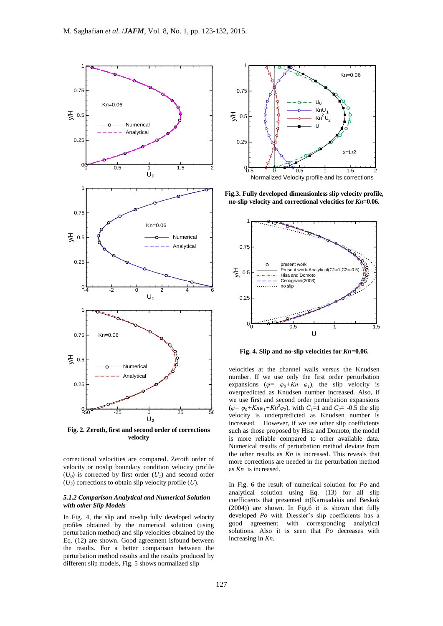

**Fig. 2. Zeroth, first and second order of corrections velocity**

correctional velocities are compared. Zeroth order of velocity or noslip boundary condition velocity profile  $(U_0)$  is corrected by first order  $(U_1)$  and second order (*U<sup>2</sup>* ) corrections to obtain slip velocity profile (*U*).

#### *5.1.2 Comparison Analytical and Numerical Solution with other Slip Models*

In Fig. 4, the slip and no-slip fully developed velocity profiles obtained by the numerical solution (using perturbation method) and slip velocities obtained by the Eq. (12) are shown. Good agreement isfound between the results. For a better comparison between the perturbation method results and the results produced by different slip models, Fig. 5 shows normalized slip



**Fig.3. Fully developed dimensionless slip velocity profile, no-slip velocity and correctional velocities for** *Kn***=0.06.**



**Fig. 4. Slip and no-slip velocities for** *Kn***=0.06.**

velocities at the channel walls versus the Knudsen number. If we use only the first order perturbation expansions ( $\varphi = \varphi_0 + Kn \varphi_1$ ), the slip velocity is overpredicted as Knudsen number increased. Also, if we use first and second order perturbation expansions  $(\varphi = \varphi_0 + Kn\varphi_1 + Kn^2\varphi_2)$ , with  $C_1 = 1$  and  $C_2 = -0.5$  the slip velocity is underpredicted as Knudsen number is increased. However, if we use other slip coefficients such as those proposed by Hisa and Domoto, the model is more reliable compared to other available data. Numerical results of perturbation method deviate from the other results as  $\overline{K}n$  is increased. This reveals that more corrections are needed in the perturbation method as *Kn* is increased.

In Fig. 6 the result of numerical solution for *Po* and analytical solution using Eq. (13) for all slip coefficients that presented in(Karniadakis and Beskok (2004)) are shown. In Fig.6 it is shown that fully developed *Po* with Diessler's slip coefficients has a good agreement with corresponding analytical solutions. Also it is seen that *Po* decreases with increasing in *Kn*.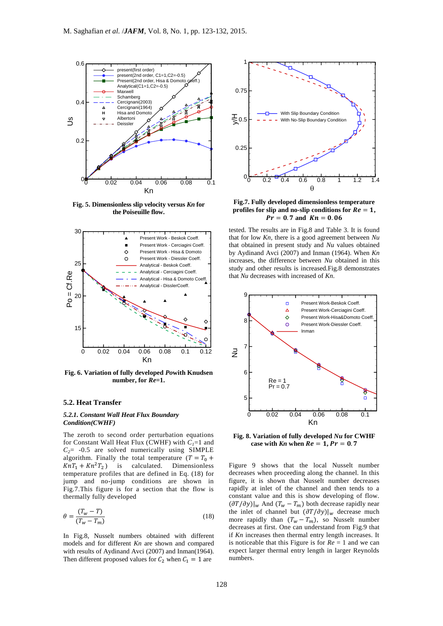

**Fig. 5. Dimensionless slip velocity versus** *Kn* **for the Poiseuille flow.**



**Fig. 6. Variation of fully developed** *Po***with Knudsen number, for** *Re***=1.**

#### **5.2. Heat Transfer**

#### *5.2.1. Constant Wall Heat Flux Boundary Condition(CWHF)*

The zeroth to second order perturbation equations for Constant Wall Heat Flux (CWHF) with  $C_1=1$  and  $C_2$ = -0.5 are solved numerically using SIMPLE algorithm. Finally the total temperature  $(T = T_0 +$  $KnT_1 + Kn^2T_2$  is calculated. Dimensionless temperature profiles that are defined in Eq. (18) for jump and no-jump conditions are shown in Fig.7.This figure is for a section that the flow is thermally fully developed

$$
\theta = \frac{(T_w - T)}{(T_w - T_m)}\tag{18}
$$

In Fig.8, Nusselt numbers obtained with different models and for different *Kn* are shown and compared with results of Aydinand Avci (2007) and Inman(1964). Then different proposed values for  $C_2$  when  $C_1 = 1$  are



**Fig.7. Fully developed dimensionless temperature**  profiles for slip and no-slip conditions for  $Re = 1$ ,  $Pr = 0.7$  and  $Kn = 0.06$ 

tested. The results are in Fig.8 and Table 3. It is found that for low *Kn,* there is a good agreement between *Nu* that obtained in present study and *Nu* values obtained by Aydinand Avci (2007) and Inman (1964). When *Kn*  increases, the difference between *Nu* obtained in this study and other results is increased.Fig.8 demonstrates that *Nu* decreases with increased of *Kn*.



**Fig. 8. Variation of fully developed** *Nu* **for CWHF**  case with  $Kn$  when  $Re = 1$ ,  $Pr = 0.7$ 

Figure 9 shows that the local Nusselt number decreases when proceeding along the channel. In this figure, it is shown that Nusselt number decreases rapidly at inlet of the channel and then tends to a constant value and this is show developing of flow.  $(\partial T/\partial y)|_w$  And  $(T_w - T_m)$  both decrease rapidly near the inlet of channel but  $(\partial T/\partial y)|_w$  decrease much more rapidly than  $(T_w - T_m)$ , so Nusselt number decreases at first. One can understand from Fig.9 that if *Kn* increases then thermal entry length increases. It is noticeable that this Figure is for *Re* = 1 and we can expect larger thermal entry length in larger Reynolds numbers.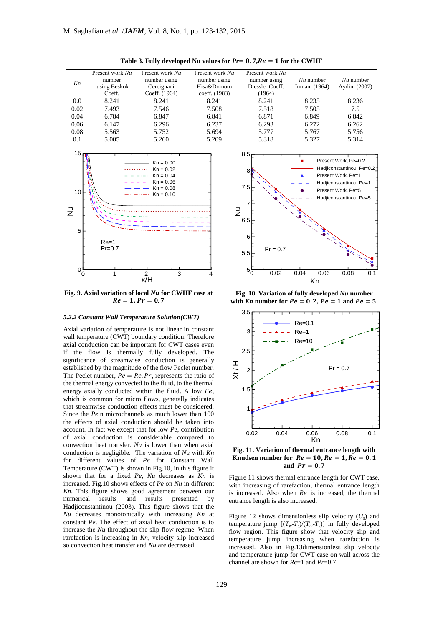| Kn   | Present work Nu<br>number<br>using Beskok<br>Coeff. | Present work Nu<br>number using<br>Cercignani<br>Coeff. (1964) | Present work Nu<br>number using<br>Hisa&Domoto<br>coeff. (1983) | Present work Nu<br>number using<br>Diessler Coeff.<br>(1964) | $Nu$ number<br>Inman. (1964) | $Nu$ number<br>Aydin. (2007) |
|------|-----------------------------------------------------|----------------------------------------------------------------|-----------------------------------------------------------------|--------------------------------------------------------------|------------------------------|------------------------------|
| 0.0  | 8.241                                               | 8.241                                                          | 8.241                                                           | 8.241                                                        | 8.235                        | 8.236                        |
| 0.02 | 7.493                                               | 7.546                                                          | 7.508                                                           | 7.518                                                        | 7.505                        | 7.5                          |
| 0.04 | 6.784                                               | 6.847                                                          | 6.841                                                           | 6.871                                                        | 6.849                        | 6.842                        |
| 0.06 | 6.147                                               | 6.296                                                          | 6.237                                                           | 6.293                                                        | 6.272                        | 6.262                        |
| 0.08 | 5.563                                               | 5.752                                                          | 5.694                                                           | 5.777                                                        | 5.767                        | 5.756                        |
| 0.1  | 5.005                                               | 5.260                                                          | 5.209                                                           | 5.318                                                        | 5.327                        | 5.314                        |

**Table 3. Fully developed Nu values for**  $Pr = 0.7$ **,**  $Re = 1$  **for the CWHF** 



**Fig. 9. Axial variation of local** *Nu* **for CWHF case at**   $Re = 1, Pr = 0.7$ 

#### *5.2.2 Constant Wall Temperature Solution(CWT)*

Axial variation of temperature is not linear in constant wall temperature (CWT) boundary condition. Therefore axial conduction can be important for CWT cases even if the flow is thermally fully developed. The significance of streamwise conduction is generally established by the magnitude of the flow Peclet number. The Peclet number,  $Pe = Re.Pr$ , represents the ratio of the thermal energy convected to the fluid, to the thermal energy axially conducted within the fluid. A low  $Pe$ , which is common for micro flows, generally indicates that streamwise conduction effects must be considered. Since the *Pe*in microchannels as much lower than 100 the effects of axial conduction should be taken into account. In fact we except that for low *Pe*, contribution of axial conduction is considerable compared to convection heat transfer. *Nu* is lower than when axial conduction is negligible. The variation of *Nu* with *Kn*  for different values of *Pe* for Constant Wall Temperature (CWT) is shown in Fig.10, in this figure it shown that for a fixed *Pe*, *Nu* decreases as *Kn* is increased. Fig.10 shows effects of *Pe* on *Nu* in different *Kn*. This figure shows good agreement between our numerical results and results presented by Hadjiconstantinou (2003). This figure shows that the *Nu* decreases monotonically with increasing *Kn* at constant *Pe*. The effect of axial heat conduction is to increase the *Nu* throughout the slip flow regime. When rarefaction is increasing in *Kn,* velocity slip increased so convection heat transfer and *Nu* are decreased.



**Fig. 10. Variation of fully developed** *Nu* **number**  with  $Kn$  number for  $Pe = 0.2$ ,  $Pe = 1$  and  $Pe = 5$ .



**Fig. 11. Variation of thermal entrance length with Knudsen number for**  $Re = 10$ **,**  $Re = 1$ **,**  $Re = 0.1$ and  $Pr = 0.7$ 

Figure 11 shows thermal entrance length for CWT case, with increasing of rarefaction, thermal entrance length is increased. Also when  $Re$  is increased, the thermal entrance length is also increased.

Figure 12 shows dimensionless slip velocity  $(U_s)$  and temperature jump  $[(T_w - T_s)/(T_m - T_s)]$  in fully developed flow region. This figure show that velocity slip and temperature jump increasing when rarefaction is increased. Also in Fig.13dimensionless slip velocity and temperature jump for CWT case on wall across the channel are shown for *Re*=1 and *Pr*=0.7.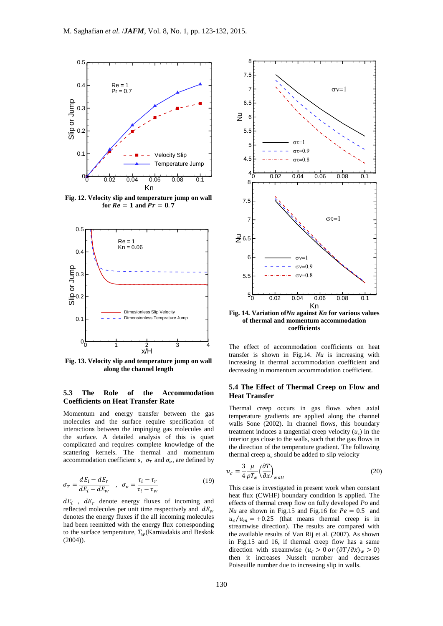

**Fig. 12. Velocity slip and temperature jump on wall for**  $Re = 1$  **and**  $Pr = 0.7$ 



**Fig. 13. Velocity slip and temperature jump on wall along the channel length**

## **5.3 The Role of the Accommodation Coefficients on Heat Transfer Rate**

Momentum and energy transfer between the gas molecules and the surface require specification of interactions between the impinging gas molecules and the surface. A detailed analysis of this is quiet complicated and requires complete knowledge of the scattering kernels. The thermal and momentum accommodation coefficient s,  $\sigma_T$  and  $\sigma_\nu$ , are defined by

$$
\sigma_T = \frac{dE_i - dE_r}{dE_i - dE_w} \quad , \quad \sigma_v = \frac{\tau_i - \tau_r}{\tau_i - \tau_w} \tag{19}
$$

 $dE_i$ ,  $dE_r$  denote energy fluxes of incoming and reflected molecules per unit time respectively and  $dE_w$ denotes the energy fluxes if the all incoming molecules had been reemitted with the energy flux corresponding to the surface temperature,  $T_w$ (Karniadakis and Beskok (2004)).



**of thermal and momentum accommodation coefficients**

The effect of accommodation coefficients on heat transfer is shown in Fig.14. *Nu* is increasing with increasing in thermal accommodation coefficient and decreasing in momentum accommodation coefficient.

## **5.4 The Effect of Thermal Creep on Flow and Heat Transfer**

Thermal creep occurs in gas flows when axial temperature gradients are applied along the channel walls Sone (2002). In channel flows, this boundary treatment induces a tangential creep velocity  $(u_c)$  in the interior gas close to the walls, such that the gas flows in the direction of the temperature gradient. The following thermal creep  $u_c$  should be added to slip velocity

$$
u_c = \frac{3}{4} \frac{\mu}{\rho T_w} \left(\frac{\partial T}{\partial x}\right)_{wall}
$$
 (20)

This case is investigated in present work when constant heat flux (CWHF) boundary condition is applied. The effects of thermal creep flow on fully developed *Po* and *Nu* are shown in Fig.15 and Fig.16 for  $Pe = 0.5$  and  $u_c/u_m = +0.25$  (that means thermal creep is in streamwise direction). The results are compared with the available results of Van Rij et al. (2007). As shown in Fig.15 and 16, if thermal creep flow has a same direction with streamwise  $(u_c > 0 \text{ or } (\partial T / \partial x)_w > 0)$ then it increases Nusselt number and decreases Poiseuille number due to increasing slip in walls.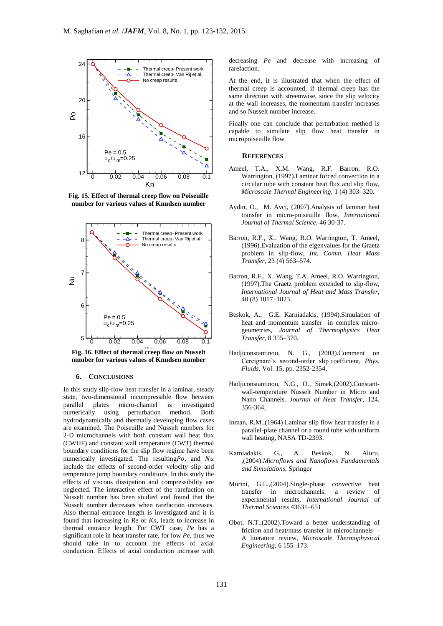

**Fig. 15. Effect of thermal creep flow on Poiseuille number for various values of Knudsen number**



Fig. 16. Effect of thermal creep flow on Nusselt **number for various values of Knudsen number**

# **6. CONCLUSIONS**

In this study slip-flow heat transfer in a laminar, steady state, two-dimensional incompressible flow between<br>parallel plates micro-channel is investigated parallel plates micro-channel is numerically using perturbation method. Both hydrodynamically and thermally developing flow cases are examined. The Poiseuille and Nusselt numbers for 2-D microchannels with both constant wall heat flux (CWHF) and constant wall temperature (CWT) thermal boundary conditions for the slip flow regime have been numerically investigated. The resulting  $P$ o, and  $Nu$ include the effects of second-order velocity slip and temperature jump boundary conditions. In this study the effects of viscous dissipation and compressibility are neglected. The interactive effect of the rarefaction on Nusselt number has been studied and found that the Nusselt number decreases when rarefaction increases. Also thermal entrance length is investigated and it is found that increasing in *Re* or *Kn,* leads to increase in thermal entrance length. For CWT case, *Pe* has a significant role in heat transfer rate, for low *Pe*, thus we should take in to account the effects of axial conduction. Effects of axial conduction increase with

decreasing *Pe* and decrease with increasing of rarefaction.

At the end, it is illustrated that when the effect of thermal creep is accounted, if thermal creep has the same direction with streemwise, since the slip velocity at the wall increases, the momentum transfer increases and so Nusselt number increase.

Finally one can conclude that perturbation method is capable to simulate slip flow heat transfer in micropoiseuille flow

#### **REFERENCES**

- Ameel, T.A., X.M. Wang, R.F. Barron, R.O. Warrington, (1997).Laminar forced convection in a circular tube with constant heat flux and slip flow, *Microscale Thermal Engineering,* 1 (4) 303–320.
- Aydin, O., M. Avci, (2007).Analysis of laminar heat transfer in micro-poiseuille flow, *International Journal of Thermal Science,* 46 30-37.
- Barron, R.F., X.. Wang, R.O. Warrington, T. Ameel, (1996).Evaluation of the eigenvalues for the Graetz problem in slip-flow, *Int. Comm. Heat Mass Transfer,* 23 (4) 563–574.
- Barron, R.F., X. Wang, T.A. Ameel, R.O. Warrington, (1997).The Graetz problem extended to slip-flow, *International Journal of Heat and Mass Transfer*, 40 (8) 1817–1823.
- Beskok, A., G.E. Karniadakis, (1994).Simulation of heat and momentum transfer in complex microgeometries, *Journal of Thermophysics Heat Transfer,* 8 355–370.
- Hadjiconstantinou, N. G., (2003).Comment on Cercignani's second-order slip coefficient, *Phys. Fluids*, Vol. 15, pp. 2352-2354,
- Hadjiconstantinou, N.G., O., Simek,(2002).Constantwall-temperature Nusselt Number in Micro and Nano Channels. *Journal of Heat Transfer*, 124, 356-364,
- Inman, R.M.,(1964) Laminar slip flow heat transfer in a parallel-plate channel or a round tube with uniform wall heating, NASA TD-2393.
- Karniadakis, G., A. Beskok, N. Aluru, ,(2004).*Microflows and Nanoflows Fundamentals and Simulations*, Springer
- Morini, G.L.,(2004).Single-phase convective heat transfer in microchannels: a review of experimental results, *International Journal of Thermal Sciences* 43631–651
- Obot, N.T.,(2002).Toward a better understanding of friction and heat/mass transfer in microchannels— A literature review, *Microscale Thermophysical Engineering*, 6 155–173.